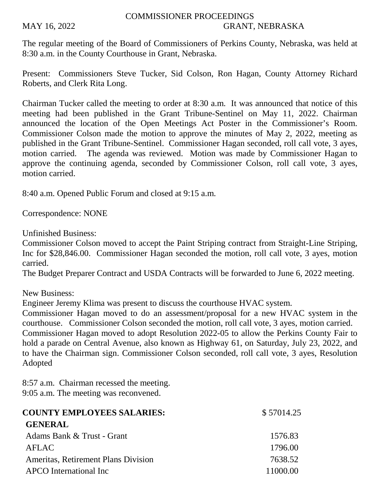## COMMISSIONER PROCEEDINGS MAY 16, 2022 GRANT, NEBRASKA

The regular meeting of the Board of Commissioners of Perkins County, Nebraska, was held at 8:30 a.m. in the County Courthouse in Grant, Nebraska.

Present: Commissioners Steve Tucker, Sid Colson, Ron Hagan, County Attorney Richard Roberts, and Clerk Rita Long.

Chairman Tucker called the meeting to order at 8:30 a.m. It was announced that notice of this meeting had been published in the Grant Tribune-Sentinel on May 11, 2022. Chairman announced the location of the Open Meetings Act Poster in the Commissioner's Room. Commissioner Colson made the motion to approve the minutes of May 2, 2022, meeting as published in the Grant Tribune-Sentinel. Commissioner Hagan seconded, roll call vote, 3 ayes, motion carried. The agenda was reviewed. Motion was made by Commissioner Hagan to approve the continuing agenda, seconded by Commissioner Colson, roll call vote, 3 ayes, motion carried.

8:40 a.m. Opened Public Forum and closed at 9:15 a.m.

Correspondence: NONE

Unfinished Business:

Commissioner Colson moved to accept the Paint Striping contract from Straight-Line Striping, Inc for \$28,846.00. Commissioner Hagan seconded the motion, roll call vote, 3 ayes, motion carried.

The Budget Preparer Contract and USDA Contracts will be forwarded to June 6, 2022 meeting.

New Business:

Engineer Jeremy Klima was present to discuss the courthouse HVAC system.

Commissioner Hagan moved to do an assessment/proposal for a new HVAC system in the courthouse. Commissioner Colson seconded the motion, roll call vote, 3 ayes, motion carried. Commissioner Hagan moved to adopt Resolution 2022-05 to allow the Perkins County Fair to hold a parade on Central Avenue, also known as Highway 61, on Saturday, July 23, 2022, and to have the Chairman sign. Commissioner Colson seconded, roll call vote, 3 ayes, Resolution Adopted

8:57 a.m. Chairman recessed the meeting. 9:05 a.m. The meeting was reconvened.

| <b>COUNTY EMPLOYEES SALARIES:</b>   | \$57014.25 |
|-------------------------------------|------------|
| <b>GENERAL</b>                      |            |
| Adams Bank & Trust - Grant          | 1576.83    |
| <b>AFLAC</b>                        | 1796.00    |
| Ameritas, Retirement Plans Division | 7638.52    |
| <b>APCO</b> International Inc       | 11000.00   |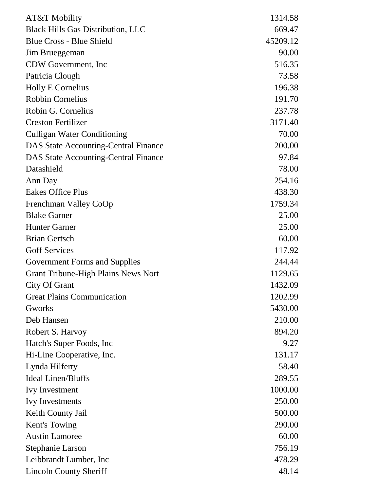| AT&T Mobility                               | 1314.58  |
|---------------------------------------------|----------|
| <b>Black Hills Gas Distribution, LLC</b>    | 669.47   |
| <b>Blue Cross - Blue Shield</b>             | 45209.12 |
| Jim Brueggeman                              | 90.00    |
| CDW Government, Inc                         | 516.35   |
| Patricia Clough                             | 73.58    |
| <b>Holly E Cornelius</b>                    | 196.38   |
| <b>Robbin Cornelius</b>                     | 191.70   |
| Robin G. Cornelius                          | 237.78   |
| <b>Creston Fertilizer</b>                   | 3171.40  |
| <b>Culligan Water Conditioning</b>          | 70.00    |
| <b>DAS State Accounting-Central Finance</b> | 200.00   |
| <b>DAS State Accounting-Central Finance</b> | 97.84    |
| Datashield                                  | 78.00    |
| Ann Day                                     | 254.16   |
| <b>Eakes Office Plus</b>                    | 438.30   |
| Frenchman Valley CoOp                       | 1759.34  |
| <b>Blake Garner</b>                         | 25.00    |
| <b>Hunter Garner</b>                        | 25.00    |
| <b>Brian Gertsch</b>                        | 60.00    |
| <b>Goff Services</b>                        | 117.92   |
| Government Forms and Supplies               | 244.44   |
| <b>Grant Tribune-High Plains News Nort</b>  | 1129.65  |
| <b>City Of Grant</b>                        | 1432.09  |
| <b>Great Plains Communication</b>           | 1202.99  |
| Gworks                                      | 5430.00  |
| Deb Hansen                                  | 210.00   |
| Robert S. Harvoy                            | 894.20   |
| Hatch's Super Foods, Inc.                   | 9.27     |
| Hi-Line Cooperative, Inc.                   | 131.17   |
| Lynda Hilferty                              | 58.40    |
| <b>Ideal Linen/Bluffs</b>                   | 289.55   |
| <b>Ivy Investment</b>                       | 1000.00  |
| <b>Ivy Investments</b>                      | 250.00   |
| Keith County Jail                           | 500.00   |
| Kent's Towing                               | 290.00   |
| <b>Austin Lamoree</b>                       | 60.00    |
| <b>Stephanie Larson</b>                     | 756.19   |
| Leibbrandt Lumber, Inc                      | 478.29   |
| <b>Lincoln County Sheriff</b>               | 48.14    |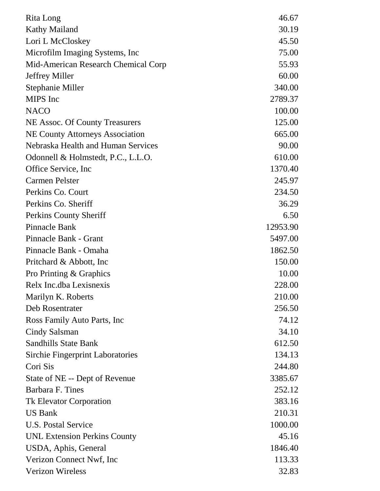| Rita Long                               | 46.67    |
|-----------------------------------------|----------|
| <b>Kathy Mailand</b>                    | 30.19    |
| Lori L McCloskey                        | 45.50    |
| Microfilm Imaging Systems, Inc.         | 75.00    |
| Mid-American Research Chemical Corp     | 55.93    |
| <b>Jeffrey Miller</b>                   | 60.00    |
| Stephanie Miller                        | 340.00   |
| <b>MIPS</b> Inc                         | 2789.37  |
| <b>NACO</b>                             | 100.00   |
| NE Assoc. Of County Treasurers          | 125.00   |
| <b>NE County Attorneys Association</b>  | 665.00   |
| Nebraska Health and Human Services      | 90.00    |
| Odonnell & Holmstedt, P.C., L.L.O.      | 610.00   |
| Office Service, Inc.                    | 1370.40  |
| <b>Carmen Pelster</b>                   | 245.97   |
| Perkins Co. Court                       | 234.50   |
| Perkins Co. Sheriff                     | 36.29    |
| Perkins County Sheriff                  | 6.50     |
| <b>Pinnacle Bank</b>                    | 12953.90 |
| Pinnacle Bank - Grant                   | 5497.00  |
| Pinnacle Bank - Omaha                   | 1862.50  |
| Pritchard & Abbott, Inc.                | 150.00   |
| Pro Printing & Graphics                 | 10.00    |
| Relx Inc.dba Lexisnexis                 | 228.00   |
| Marilyn K. Roberts                      | 210.00   |
| Deb Rosentrater                         | 256.50   |
| Ross Family Auto Parts, Inc.            | 74.12    |
| Cindy Salsman                           | 34.10    |
| <b>Sandhills State Bank</b>             | 612.50   |
| <b>Sirchie Fingerprint Laboratories</b> | 134.13   |
| Cori Sis                                | 244.80   |
| State of NE -- Dept of Revenue          | 3385.67  |
| Barbara F. Tines                        | 252.12   |
| <b>Tk Elevator Corporation</b>          | 383.16   |
| <b>US Bank</b>                          | 210.31   |
| U.S. Postal Service                     | 1000.00  |
| <b>UNL Extension Perkins County</b>     | 45.16    |
| USDA, Aphis, General                    | 1846.40  |
| Verizon Connect Nwf, Inc                | 113.33   |
| <b>Verizon Wireless</b>                 | 32.83    |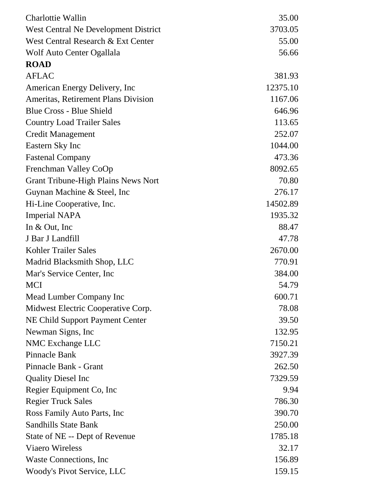| Charlottie Wallin                          | 35.00    |
|--------------------------------------------|----------|
| West Central Ne Development District       | 3703.05  |
| West Central Research & Ext Center         | 55.00    |
| Wolf Auto Center Ogallala                  | 56.66    |
| <b>ROAD</b>                                |          |
| <b>AFLAC</b>                               | 381.93   |
| American Energy Delivery, Inc              | 12375.10 |
| Ameritas, Retirement Plans Division        | 1167.06  |
| <b>Blue Cross - Blue Shield</b>            | 646.96   |
| <b>Country Load Trailer Sales</b>          | 113.65   |
| <b>Credit Management</b>                   | 252.07   |
| Eastern Sky Inc                            | 1044.00  |
| <b>Fastenal Company</b>                    | 473.36   |
| Frenchman Valley CoOp                      | 8092.65  |
| <b>Grant Tribune-High Plains News Nort</b> | 70.80    |
| Guynan Machine & Steel, Inc                | 276.17   |
| Hi-Line Cooperative, Inc.                  | 14502.89 |
| <b>Imperial NAPA</b>                       | 1935.32  |
| In & Out, Inc                              | 88.47    |
| J Bar J Landfill                           | 47.78    |
| Kohler Trailer Sales                       | 2670.00  |
| Madrid Blacksmith Shop, LLC                | 770.91   |
| Mar's Service Center, Inc.                 | 384.00   |
| <b>MCI</b>                                 | 54.79    |
| Mead Lumber Company Inc                    | 600.71   |
| Midwest Electric Cooperative Corp.         | 78.08    |
| NE Child Support Payment Center            | 39.50    |
| Newman Signs, Inc.                         | 132.95   |
| NMC Exchange LLC                           | 7150.21  |
| <b>Pinnacle Bank</b>                       | 3927.39  |
| Pinnacle Bank - Grant                      | 262.50   |
| <b>Quality Diesel Inc</b>                  | 7329.59  |
| Regier Equipment Co, Inc.                  | 9.94     |
| <b>Regier Truck Sales</b>                  | 786.30   |
| Ross Family Auto Parts, Inc.               | 390.70   |
| <b>Sandhills State Bank</b>                | 250.00   |
| State of NE -- Dept of Revenue             | 1785.18  |
| <b>Viaero Wireless</b>                     | 32.17    |
| Waste Connections, Inc.                    | 156.89   |
| Woody's Pivot Service, LLC                 | 159.15   |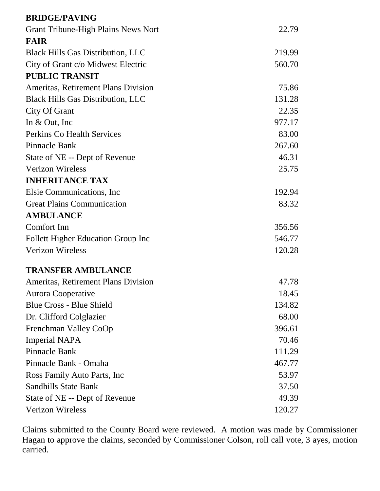| <b>BRIDGE/PAVING</b>                       |        |
|--------------------------------------------|--------|
| <b>Grant Tribune-High Plains News Nort</b> | 22.79  |
| <b>FAIR</b>                                |        |
| <b>Black Hills Gas Distribution, LLC</b>   | 219.99 |
| City of Grant c/o Midwest Electric         | 560.70 |
| <b>PUBLIC TRANSIT</b>                      |        |
| <b>Ameritas, Retirement Plans Division</b> | 75.86  |
| <b>Black Hills Gas Distribution, LLC</b>   | 131.28 |
| City Of Grant                              | 22.35  |
| In $&$ Out, Inc                            | 977.17 |
| <b>Perkins Co Health Services</b>          | 83.00  |
| Pinnacle Bank                              | 267.60 |
| State of NE -- Dept of Revenue             | 46.31  |
| <b>Verizon Wireless</b>                    | 25.75  |
| <b>INHERITANCE TAX</b>                     |        |
| Elsie Communications, Inc.                 | 192.94 |
| <b>Great Plains Communication</b>          | 83.32  |
| <b>AMBULANCE</b>                           |        |
| Comfort Inn                                | 356.56 |
| Follett Higher Education Group Inc         | 546.77 |
| <b>Verizon Wireless</b>                    | 120.28 |
| <b>TRANSFER AMBULANCE</b>                  |        |
| Ameritas, Retirement Plans Division        | 47.78  |
| Aurora Cooperative                         | 18.45  |
| <b>Blue Cross - Blue Shield</b>            | 134.82 |
| Dr. Clifford Colglazier                    | 68.00  |
| Frenchman Valley CoOp                      | 396.61 |
| <b>Imperial NAPA</b>                       | 70.46  |
| <b>Pinnacle Bank</b>                       | 111.29 |
| Pinnacle Bank - Omaha                      | 467.77 |
| Ross Family Auto Parts, Inc.               | 53.97  |
| <b>Sandhills State Bank</b>                | 37.50  |
| State of NE -- Dept of Revenue             | 49.39  |
| Verizon Wireless                           | 120.27 |

Claims submitted to the County Board were reviewed. A motion was made by Commissioner Hagan to approve the claims, seconded by Commissioner Colson, roll call vote, 3 ayes, motion carried.